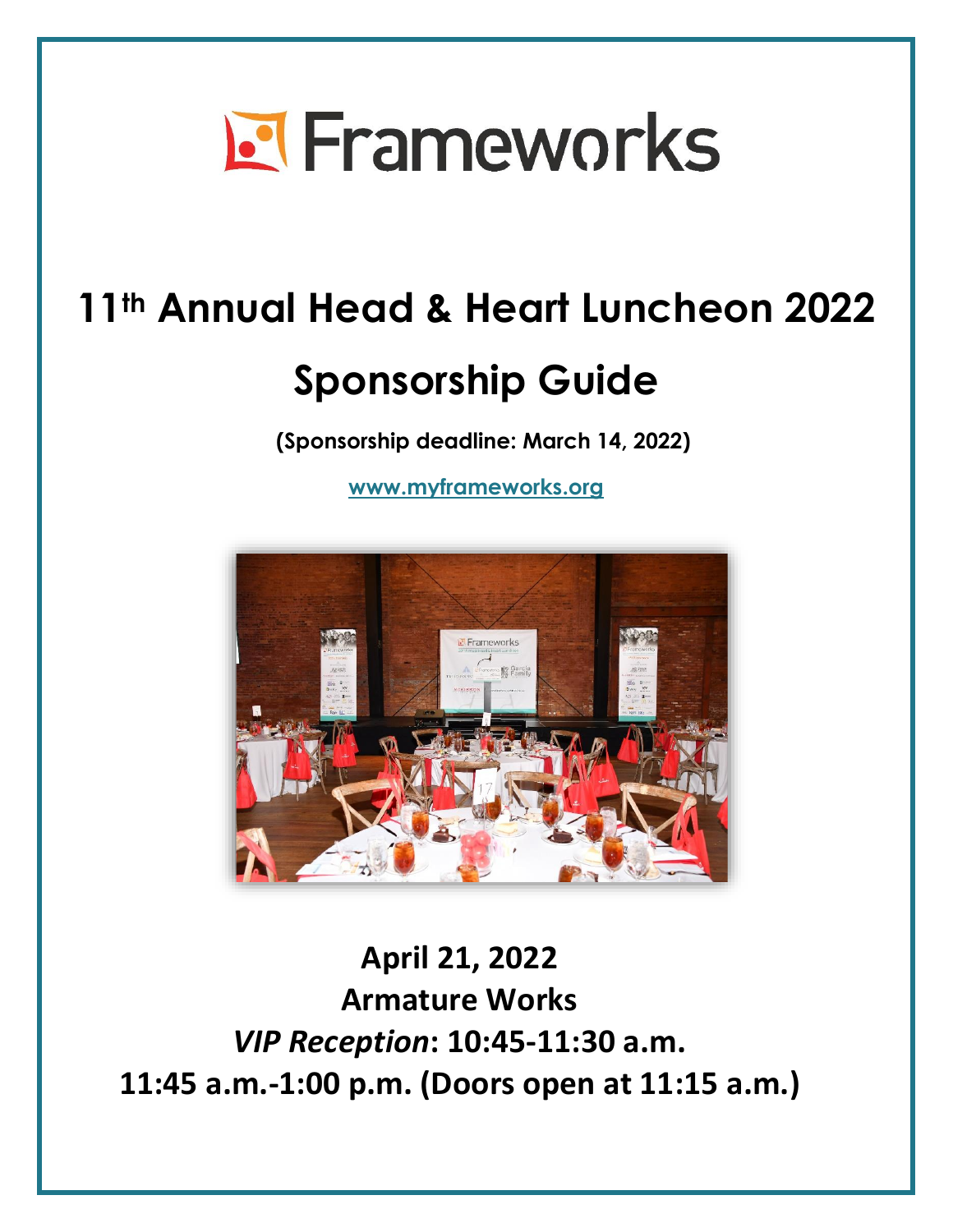# **El Frameworks**

## **11th Annual Head & Heart Luncheon 2022**

## **Sponsorship Guide**

**(Sponsorship deadline: March 14, 2022)**

**[www.myframeworks.org](http://www.myframeworks.org/events/)**



## **April 21, 2022 Armature Works** *VIP Reception***: 10:45-11:30 a.m. 11:45 a.m.-1:00 p.m. (Doors open at 11:15 a.m.)**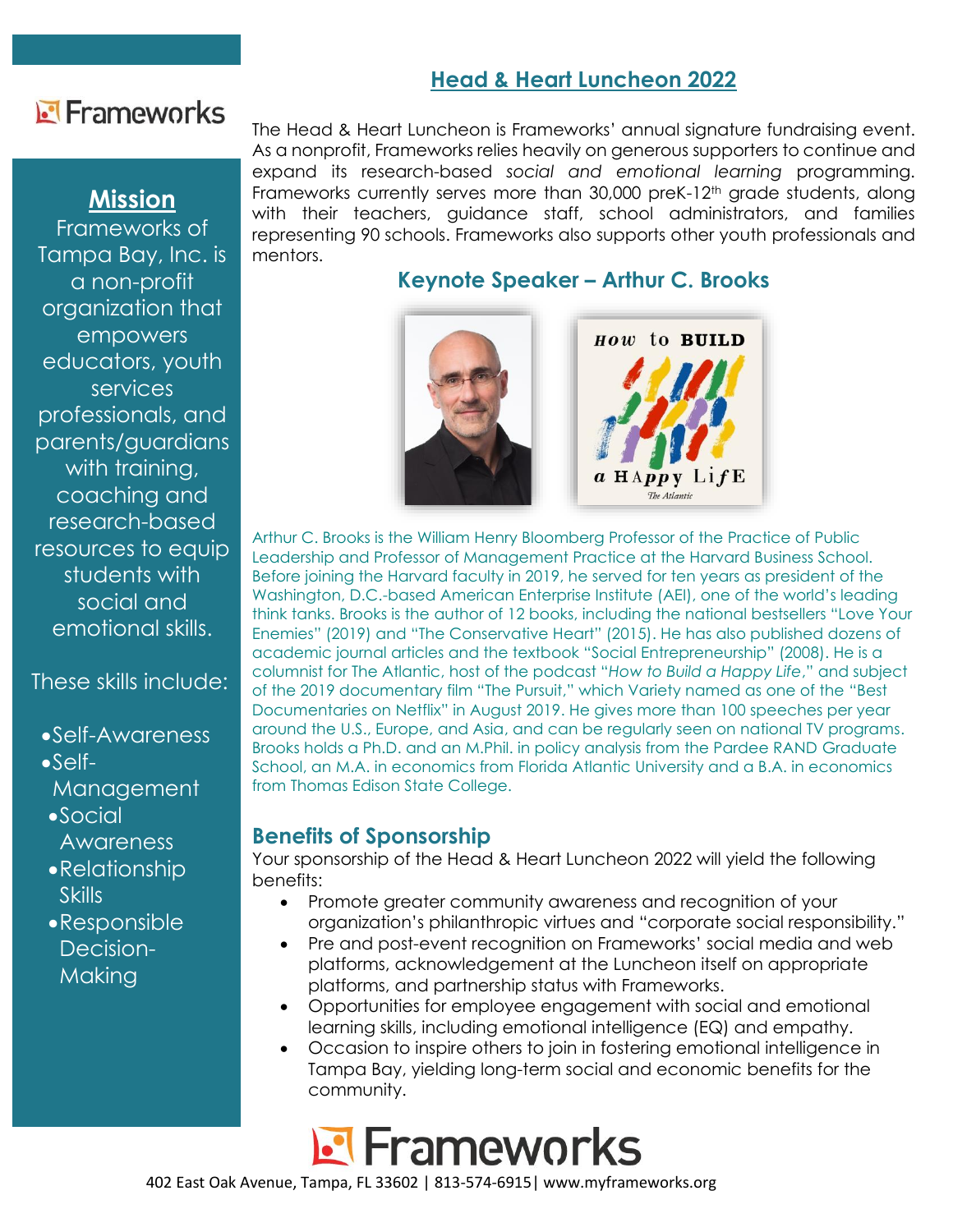## Frameworks

## **Mission**

Frameworks of Tampa Bay, Inc. is a non-profit organization that empowers educators, youth services professionals, and parents/guardians with training, coaching and research-based resources to equip students with social and emotional skills.

## These skills include:

- •Self-Awareness
- •Self-

**Management** 

- •Social **Awareness**
- •Relationship **Skills**
- •Responsible Decision-**Making**

### The Head & Heart Luncheon is Frameworks' annual signature fundraising event. As a nonprofit, Frameworks relies heavily on generous supporters to continue and expand its research-based *social and emotional learning* programming. Frameworks currently serves more than 30,000 preK-12<sup>th</sup> grade students, along with their teachers, guidance staff, school administrators, and families representing 90 schools. Frameworks also supports other youth professionals and mentors.

## **Keynote Speaker – Arthur C. Brooks**



Arthur C. Brooks is the William Henry Bloomberg Professor of the Practice of Public Leadership and Professor of Management Practice at the Harvard Business School. Before joining the Harvard faculty in 2019, he served for ten years as president of the Washington, D.C.-based American Enterprise Institute (AEI), one of the world's leading think tanks. Brooks is the author of 12 books, including the national bestsellers "Love Your Enemies" (2019) and "The Conservative Heart" (2015). He has also published dozens of academic journal articles and the textbook "Social Entrepreneurship" (2008). He is a columnist for The Atlantic, host of the podcast "*How to Build a Happy Life*," and subject of the 2019 documentary film "The Pursuit," which Variety named as one of the "Best Documentaries on Netflix" in August 2019. He gives more than 100 speeches per year around the U.S., Europe, and Asia, and can be regularly seen on national TV programs. Brooks holds a Ph.D. and an M.Phil. in policy analysis from the Pardee RAND Graduate School, an M.A. in economics from Florida Atlantic University and a B.A. in economics from Thomas Edison State College.

## **Benefits of Sponsorship**

Your sponsorship of the Head & Heart Luncheon 2022 will yield the following benefits:

- Promote greater community awareness and recognition of your organization's philanthropic virtues and "corporate social responsibility."
- Pre and post-event recognition on Frameworks' social media and web platforms, acknowledgement at the Luncheon itself on appropriate platforms, and partnership status with Frameworks.
- Opportunities for employee engagement with social and emotional learning skills, including emotional intelligence (EQ) and empathy.
- Occasion to inspire others to join in fostering emotional intelligence in Tampa Bay, yielding long-term social and economic benefits for the community.



402 East Oak Avenue, Tampa, FL 33602 | 813-574-6915| www.myframeworks.org

## **Head & Heart Luncheon 2022**